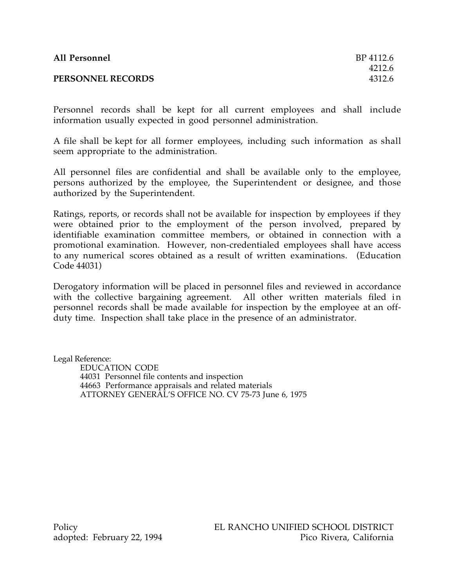| All Personnel            | BP 4112.6 |
|--------------------------|-----------|
|                          | 4212.6    |
| <b>PERSONNEL RECORDS</b> | 4312.6    |

Personnel records shall be kept for all current employees and shall include information usually expected in good personnel administration.

A file shall be kept for all former employees, including such information as shall seem appropriate to the administration.

All personnel files are confidential and shall be available only to the employee, persons authorized by the employee, the Superintendent or designee, and those authorized by the Superintendent.

Ratings, reports, or records shall not be available for inspection by employees if they were obtained prior to the employment of the person involved, prepared by identifiable examination committee members, or obtained in connection with a promotional examination. However, non-credentialed employees shall have access to any numerical scores obtained as a result of written examinations. (Education Code 44031)

Derogatory information will be placed in personnel files and reviewed in accordance with the collective bargaining agreement. All other written materials filed in personnel records shall be made available for inspection by the employee at an offduty time. Inspection shall take place in the presence of an administrator.

Legal Reference: EDUCATION CODE 44031 Personnel file contents and inspection 44663 Performance appraisals and related materials ATTORNEY GENERAL'S OFFICE NO. CV 75-73 June 6, 1975